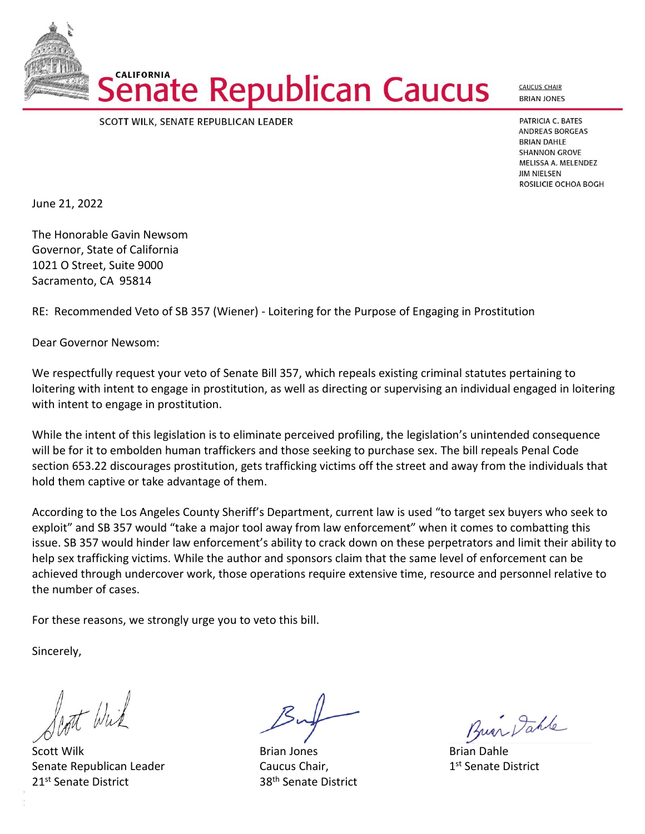SCOTT WILK, SENATE REPUBLICAN LEADER

PATRICIA C. BATES **ANDREAS BORGEAS BRIAN DAHLE SHANNON GROVE** MELISSA A. MELENDEZ **JIM NIELSEN** ROSILICIE OCHOA BOGH

**CAUCUS CHAIR BRIAN JONES** 

June 21, 2022

The Honorable Gavin Newsom Governor, State of California 1021 O Street, Suite 9000 Sacramento, CA 95814

**CALIFORNIA** 

RE: Recommended Veto of SB 357 (Wiener) - Loitering for the Purpose of Engaging in Prostitution

enate Republican Caucus

Dear Governor Newsom:

We respectfully request your veto of Senate Bill 357, which repeals existing criminal statutes pertaining to loitering with intent to engage in prostitution, as well as directing or supervising an individual engaged in loitering with intent to engage in prostitution.

While the intent of this legislation is to eliminate perceived profiling, the legislation's unintended consequence will be for it to embolden human traffickers and those seeking to purchase sex. The bill repeals Penal Code section 653.22 discourages prostitution, gets trafficking victims off the street and away from the individuals that hold them captive or take advantage of them.

According to the Los Angeles County Sheriff's Department, current law is used "to target sex buyers who seek to exploit" and SB 357 would "take a major tool away from law enforcement" when it comes to combatting this issue. SB 357 would hinder law enforcement's ability to crack down on these perpetrators and limit their ability to help sex trafficking victims. While the author and sponsors claim that the same level of enforcement can be achieved through undercover work, those operations require extensive time, resource and personnel relative to the number of cases.

For these reasons, we strongly urge you to veto this bill.

Sincerely,

Pont Wirk

Scott Wilk **Brian Library Brian Jones** Brian Dahle Brian Dahle Senate Republican Leader **Caucus Chair**, 21<sup>st</sup> Senate District 38<sup>th</sup> Senate District

Bur Dahle

1st Senate District